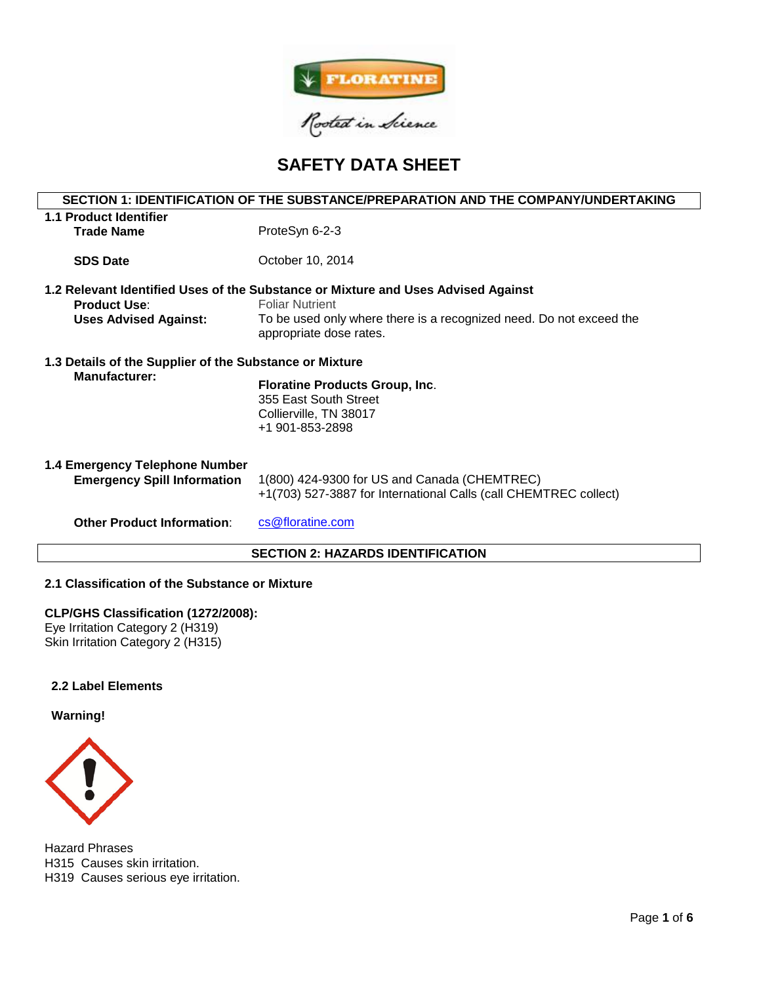

# **SAFETY DATA SHEET**

# **SECTION 1: IDENTIFICATION OF THE SUBSTANCE/PREPARATION AND THE COMPANY/UNDERTAKING 1.1 Product Identifier** Trade Name<br>
ProteSyn 6-2-3 **SDS Date COLLECTION** October 10, 2014 **1.2 Relevant Identified Uses of the Substance or Mixture and Uses Advised Against Product Use:** Foliar Nutrient **Uses Advised Against:** To be used only where there is a recognized need. Do not exceed the appropriate dose rates. **1.3 Details of the Supplier of the Substance or Mixture Floratine Products Group, Inc.** 355 East South Street Collierville, TN 38017 +1 901-853-2898 **1.4 Emergency Telephone Number Emergency Spill Information** 1(800) 424-9300 for US and Canada (CHEMTREC) +1(703) 527-3887 for International Calls (call CHEMTREC collect) **Other Product Information:** [cs@floratine.com](mailto:cs@floratine.com) **SECTION 2: HAZARDS IDENTIFICATION**

# **2.1 Classification of the Substance or Mixture**

## **CLP/GHS Classification (1272/2008):**

Eye Irritation Category 2 (H319) Skin Irritation Category 2 (H315)

## **2.2 Label Elements**

## **Warning!**



Hazard Phrases H315 Causes skin irritation. H319 Causes serious eye irritation.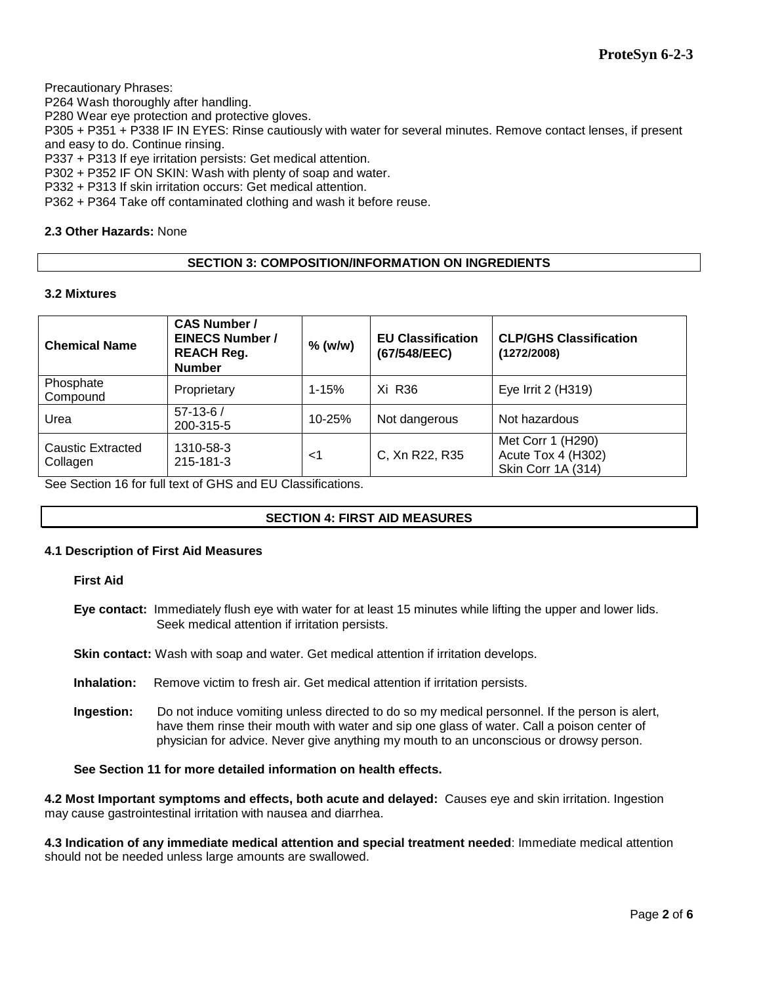Precautionary Phrases:

P264 Wash thoroughly after handling.

P280 Wear eye protection and protective gloves.

P305 + P351 + P338 IF IN EYES: Rinse cautiously with water for several minutes. Remove contact lenses, if present and easy to do. Continue rinsing.

P337 + P313 If eye irritation persists: Get medical attention.

P302 + P352 IF ON SKIN: Wash with plenty of soap and water.

P332 + P313 If skin irritation occurs: Get medical attention.

P362 + P364 Take off contaminated clothing and wash it before reuse.

## **2.3 Other Hazards:** None

# **SECTION 3: COMPOSITION/INFORMATION ON INGREDIENTS**

## **3.2 Mixtures**

| <b>Chemical Name</b>          | <b>CAS Number /</b><br><b>EINECS Number /</b><br><b>REACH Reg.</b><br><b>Number</b> | $%$ (w/w) | <b>EU Classification</b><br>(67/548/EEC) | <b>CLP/GHS Classification</b><br>(1272/2008)                         |
|-------------------------------|-------------------------------------------------------------------------------------|-----------|------------------------------------------|----------------------------------------------------------------------|
| Phosphate<br>Compound         | Proprietary                                                                         | $1 - 15%$ | Xi R36                                   | Eye Irrit 2 (H319)                                                   |
| Urea                          | $57-13-6/$<br>200-315-5                                                             | 10-25%    | Not dangerous                            | Not hazardous                                                        |
| Caustic Extracted<br>Collagen | 1310-58-3<br>215-181-3                                                              | <1        | C, Xn R22, R35                           | Met Corr 1 (H290)<br>Acute Tox 4 (H302)<br><b>Skin Corr 1A (314)</b> |

See Section 16 for full text of GHS and EU Classifications.

# **SECTION 4: FIRST AID MEASURES**

## **4.1 Description of First Aid Measures**

**First Aid**

**Eye contact:** Immediately flush eye with water for at least 15 minutes while lifting the upper and lower lids. Seek medical attention if irritation persists.

**Skin contact:** Wash with soap and water. Get medical attention if irritation develops.

**Inhalation:** Remove victim to fresh air. Get medical attention if irritation persists.

**Ingestion:** Do not induce vomiting unless directed to do so my medical personnel. If the person is alert, have them rinse their mouth with water and sip one glass of water. Call a poison center of physician for advice. Never give anything my mouth to an unconscious or drowsy person.

# **See Section 11 for more detailed information on health effects.**

**4.2 Most Important symptoms and effects, both acute and delayed:** Causes eye and skin irritation. Ingestion may cause gastrointestinal irritation with nausea and diarrhea.

**4.3 Indication of any immediate medical attention and special treatment needed**: Immediate medical attention should not be needed unless large amounts are swallowed.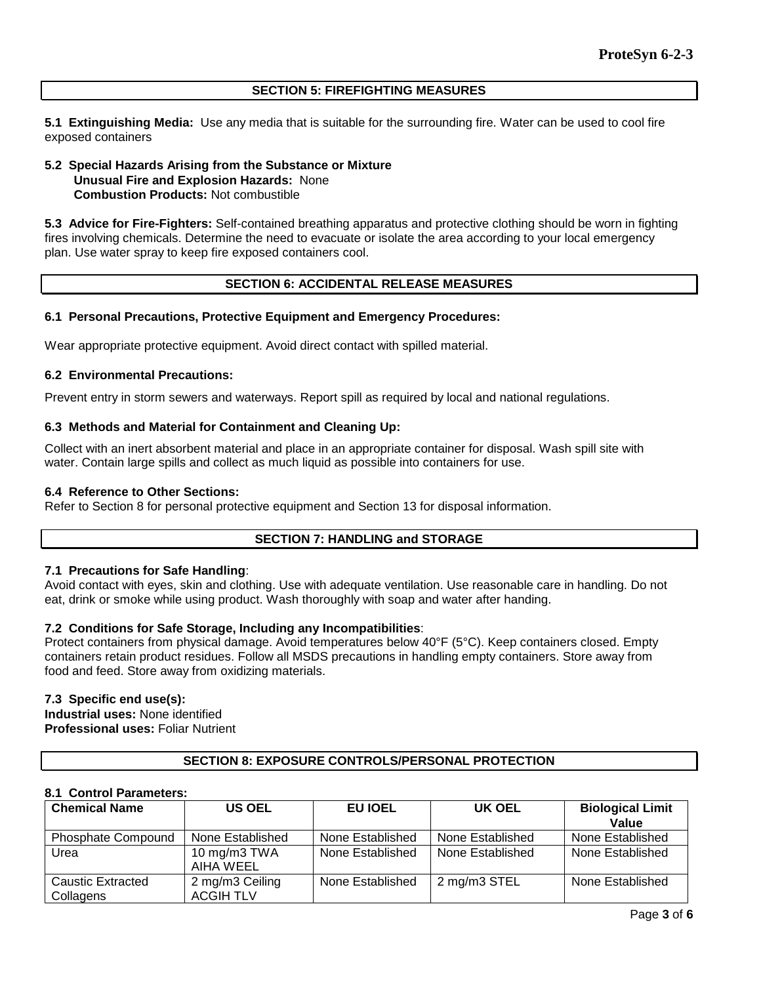#### **SECTION 5: FIREFIGHTING MEASURES**

**5.1 Extinguishing Media:** Use any media that is suitable for the surrounding fire. Water can be used to cool fire exposed containers

#### **5.2 Special Hazards Arising from the Substance or Mixture Unusual Fire and Explosion Hazards:** None **Combustion Products:** Not combustible

**5.3 Advice for Fire-Fighters:** Self-contained breathing apparatus and protective clothing should be worn in fighting fires involving chemicals. Determine the need to evacuate or isolate the area according to your local emergency plan. Use water spray to keep fire exposed containers cool.

## **SECTION 6: ACCIDENTAL RELEASE MEASURES**

## **6.1 Personal Precautions, Protective Equipment and Emergency Procedures:**

Wear appropriate protective equipment. Avoid direct contact with spilled material.

## **6.2 Environmental Precautions:**

Prevent entry in storm sewers and waterways. Report spill as required by local and national regulations.

## **6.3 Methods and Material for Containment and Cleaning Up:**

Collect with an inert absorbent material and place in an appropriate container for disposal. Wash spill site with water. Contain large spills and collect as much liquid as possible into containers for use.

#### **6.4 Reference to Other Sections:**

Refer to Section 8 for personal protective equipment and Section 13 for disposal information.

## **SECTION 7: HANDLING and STORAGE**

#### **7.1 Precautions for Safe Handling**:

Avoid contact with eyes, skin and clothing. Use with adequate ventilation. Use reasonable care in handling. Do not eat, drink or smoke while using product. Wash thoroughly with soap and water after handing.

## **7.2 Conditions for Safe Storage, Including any Incompatibilities**:

Protect containers from physical damage. Avoid temperatures below 40°F (5°C). Keep containers closed. Empty containers retain product residues. Follow all MSDS precautions in handling empty containers. Store away from food and feed. Store away from oxidizing materials.

## **7.3 Specific end use(s):**

**Industrial uses:** None identified **Professional uses:** Foliar Nutrient

## **SECTION 8: EXPOSURE CONTROLS/PERSONAL PROTECTION**

## **8.1 Control Parameters:**

| <b>Chemical Name</b>      | <b>US OEL</b>    | EU IOEL          | UK OEL           | <b>Biological Limit</b> |
|---------------------------|------------------|------------------|------------------|-------------------------|
|                           |                  |                  |                  | Value                   |
| <b>Phosphate Compound</b> | None Established | None Established | None Established | None Established        |
| Urea                      | 10 mg/m3 TWA     | None Established | None Established | None Established        |
|                           | AIHA WEEL        |                  |                  |                         |
| Caustic Extracted         | 2 mg/m3 Ceiling  | None Established | 2 mg/m3 STEL     | None Established        |
| Collagens                 | <b>ACGIH TLV</b> |                  |                  |                         |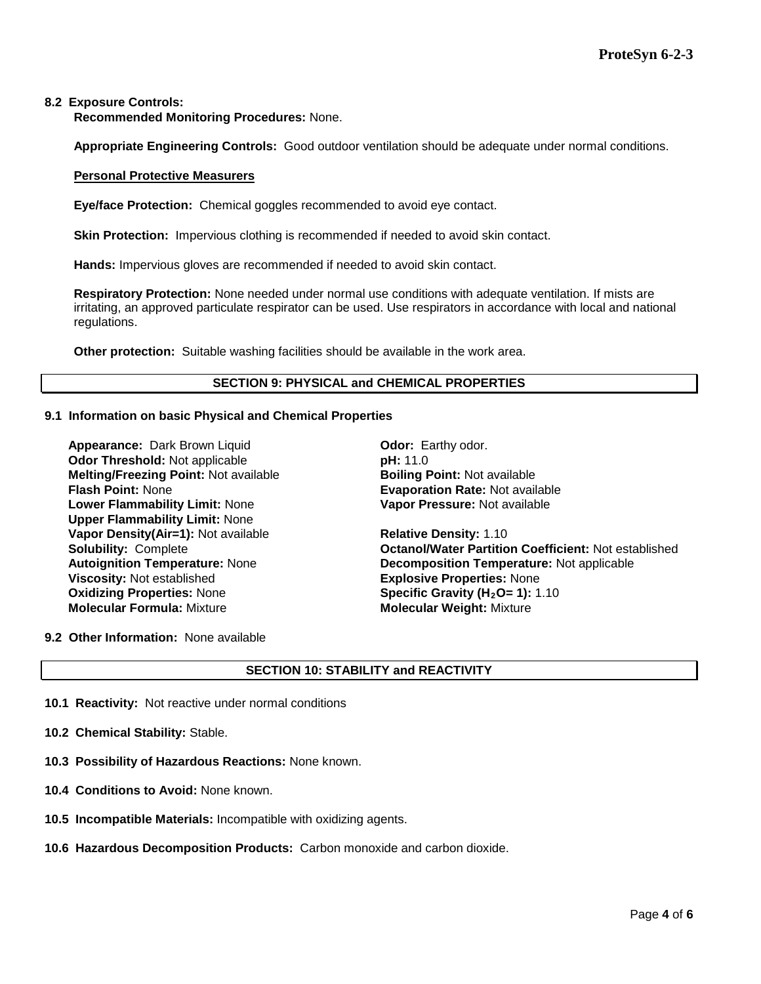## **8.2 Exposure Controls:**

**Recommended Monitoring Procedures:** None.

**Appropriate Engineering Controls:** Good outdoor ventilation should be adequate under normal conditions.

#### **Personal Protective Measurers**

**Eye/face Protection:** Chemical goggles recommended to avoid eye contact.

**Skin Protection:** Impervious clothing is recommended if needed to avoid skin contact.

**Hands:** Impervious gloves are recommended if needed to avoid skin contact.

**Respiratory Protection:** None needed under normal use conditions with adequate ventilation. If mists are irritating, an approved particulate respirator can be used. Use respirators in accordance with local and national regulations.

**Other protection:** Suitable washing facilities should be available in the work area.

## **SECTION 9: PHYSICAL and CHEMICAL PROPERTIES**

## **9.1 Information on basic Physical and Chemical Properties**

**Appearance:** Dark Brown Liquid **Dramach Contract Contract Parthy odor.** Earthy odor. **Odor Threshold:** Not applicable **pH:** 11.0 **Melting/Freezing Point:** Not available **Boiling Point:** Not available **Lower Flammability Limit:** None **Upper Flammability Limit:** None **Vapor Density(Air=1):** Not available **Relative Density: 1.10 Viscosity:** Not established **Explosive Properties:** None<br> **Oxidizing Properties:** None **Explosive Specific Gravity (H<sub>2</sub>O= 1):** 1 **Oxidizing Properties: None <b>Specific Gravity (H<sub>2</sub>O= 1):** 1.10<br> **Molecular Formula:** Mixture **State of Molecular Weight: Mixture** 

**Evaporation Rate: Not available Vapor Pressure:** Not available

**Solubility:** Complete **Octanol/Water Partition Coefficient:** Not established **Autoignition Temperature:** None **Decomposition Temperature:** Not applicable **Molecular Formula:** Mixture **Molecular Weight:** Mixture

**9.2 Other Information:** None available

# **SECTION 10: STABILITY and REACTIVITY**

- **10.1 Reactivity:** Not reactive under normal conditions
- **10.2 Chemical Stability:** Stable.
- **10.3 Possibility of Hazardous Reactions:** None known.
- **10.4 Conditions to Avoid:** None known.
- **10.5 Incompatible Materials:** Incompatible with oxidizing agents.
- **10.6 Hazardous Decomposition Products:** Carbon monoxide and carbon dioxide.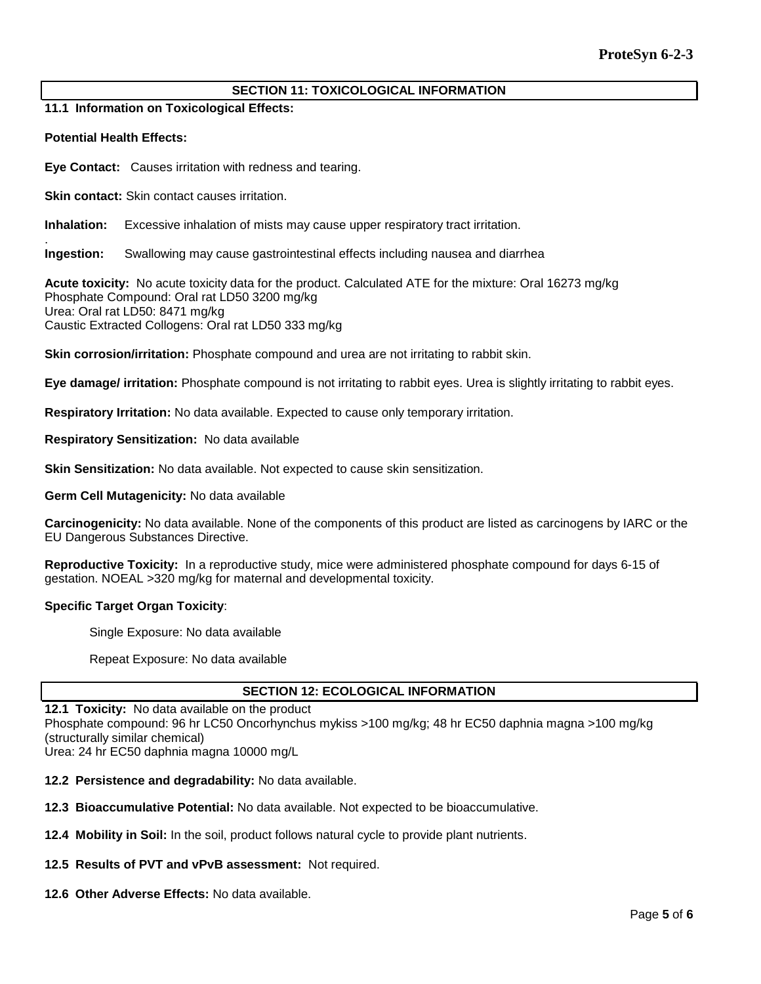# **SECTION 11: TOXICOLOGICAL INFORMATION**

**11.1 Information on Toxicological Effects:** 

#### **Potential Health Effects:**

**Eye Contact:** Causes irritation with redness and tearing.

**Skin contact:** Skin contact causes irritation.

**Inhalation:** Excessive inhalation of mists may cause upper respiratory tract irritation.

. **Ingestion:** Swallowing may cause gastrointestinal effects including nausea and diarrhea

**Acute toxicity:** No acute toxicity data for the product. Calculated ATE for the mixture: Oral 16273 mg/kg Phosphate Compound: Oral rat LD50 3200 mg/kg Urea: Oral rat LD50: 8471 mg/kg Caustic Extracted Collogens: Oral rat LD50 333 mg/kg

**Skin corrosion/irritation:** Phosphate compound and urea are not irritating to rabbit skin.

**Eye damage/ irritation:** Phosphate compound is not irritating to rabbit eyes. Urea is slightly irritating to rabbit eyes.

**Respiratory Irritation:** No data available. Expected to cause only temporary irritation.

**Respiratory Sensitization:** No data available

**Skin Sensitization:** No data available. Not expected to cause skin sensitization.

**Germ Cell Mutagenicity:** No data available

**Carcinogenicity:** No data available. None of the components of this product are listed as carcinogens by IARC or the EU Dangerous Substances Directive.

**Reproductive Toxicity:** In a reproductive study, mice were administered phosphate compound for days 6-15 of gestation. NOEAL >320 mg/kg for maternal and developmental toxicity.

#### **Specific Target Organ Toxicity**:

Single Exposure: No data available

Repeat Exposure: No data available

#### **SECTION 12: ECOLOGICAL INFORMATION**

## **12.1 Toxicity:** No data available on the product

Phosphate compound: 96 hr LC50 Oncorhynchus mykiss >100 mg/kg; 48 hr EC50 daphnia magna >100 mg/kg (structurally similar chemical)

Urea: 24 hr EC50 daphnia magna 10000 mg/L

**12.2 Persistence and degradability:** No data available.

**12.3 Bioaccumulative Potential:** No data available. Not expected to be bioaccumulative.

**12.4 Mobility in Soil:** In the soil, product follows natural cycle to provide plant nutrients.

#### **12.5 Results of PVT and vPvB assessment:** Not required.

**12.6 Other Adverse Effects:** No data available.